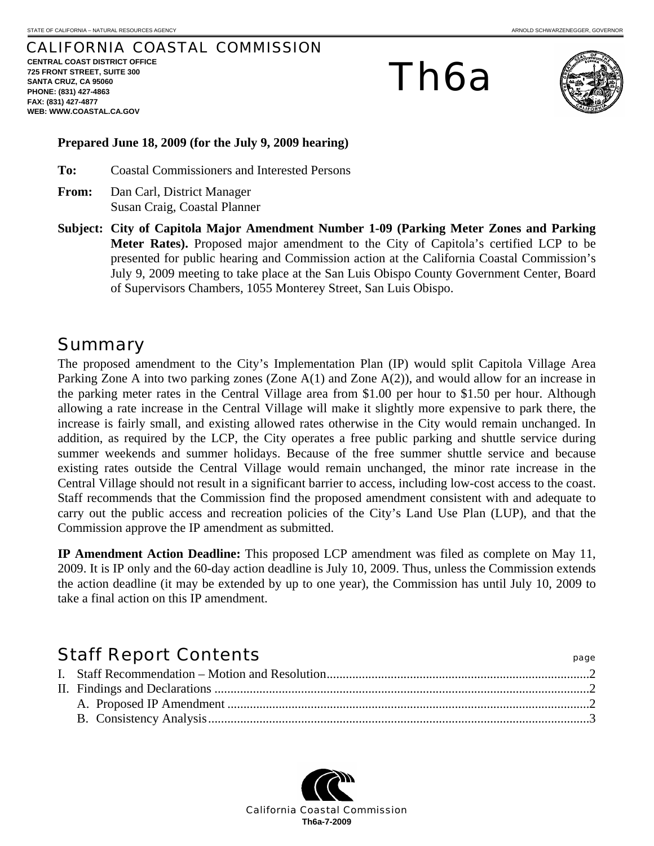#### CALIFORNIA COASTAL COMMISSION

**CENTRAL COAST DISTRICT OFFICE 725 FRONT STREET, SUITE 300 SANTA CRUZ, CA 95060 PHONE: (831) 427-4863 FAX: (831) 427-4877 WEB: WWW.COASTAL.CA.GOV**

# Th6a



#### **Prepared June 18, 2009 (for the July 9, 2009 hearing)**

**To:** Coastal Commissioners and Interested Persons

- **From:** Dan Carl, District Manager Susan Craig, Coastal Planner
- **Subject: City of Capitola Major Amendment Number 1-09 (Parking Meter Zones and Parking Meter Rates).** Proposed major amendment to the City of Capitola's certified LCP to be presented for public hearing and Commission action at the California Coastal Commission's July 9, 2009 meeting to take place at the San Luis Obispo County Government Center, Board of Supervisors Chambers, 1055 Monterey Street, San Luis Obispo.

### Summary

The proposed amendment to the City's Implementation Plan (IP) would split Capitola Village Area Parking Zone A into two parking zones (Zone A(1) and Zone A(2)), and would allow for an increase in the parking meter rates in the Central Village area from \$1.00 per hour to \$1.50 per hour. Although allowing a rate increase in the Central Village will make it slightly more expensive to park there, the increase is fairly small, and existing allowed rates otherwise in the City would remain unchanged. In addition, as required by the LCP, the City operates a free public parking and shuttle service during summer weekends and summer holidays. Because of the free summer shuttle service and because existing rates outside the Central Village would remain unchanged, the minor rate increase in the Central Village should not result in a significant barrier to access, including low-cost access to the coast. Staff recommends that the Commission find the proposed amendment consistent with and adequate to carry out the public access and recreation policies of the City's Land Use Plan (LUP), and that the Commission approve the IP amendment as submitted.

**IP Amendment Action Deadline:** This proposed LCP amendment was filed as complete on May 11, 2009. It is IP only and the 60-day action deadline is July 10, 2009. Thus, unless the Commission extends the action deadline (it may be extended by up to one year), the Commission has until July 10, 2009 to take a final action on this IP amendment.

# Staff Report Contents **Staff Report Contents**

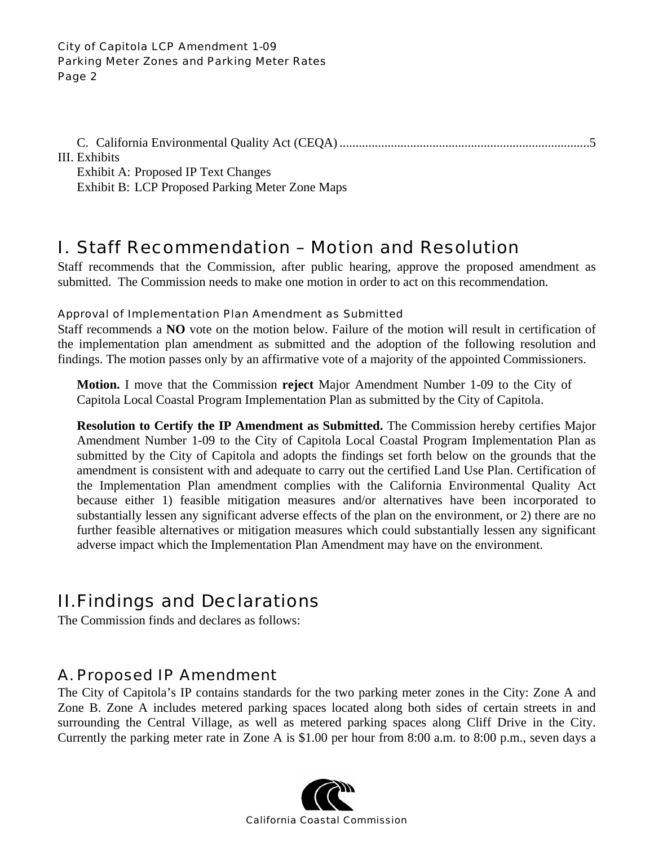#### City of Capitola LCP Amendment 1-09 Parking Meter Zones and Parking Meter Rates Page 2

C. California Environmental Quality Act (CEQA)..............................................................................5 III. Exhibits

Exhibit A: Proposed IP Text Changes Exhibit B: LCP Proposed Parking Meter Zone Maps

# I. Staff Recommendation – Motion and Resolution

Staff recommends that the Commission, after public hearing, approve the proposed amendment as submitted. The Commission needs to make one motion in order to act on this recommendation.

#### Approval of Implementation Plan Amendment as Submitted

Staff recommends a **NO** vote on the motion below. Failure of the motion will result in certification of the implementation plan amendment as submitted and the adoption of the following resolution and findings. The motion passes only by an affirmative vote of a majority of the appointed Commissioners.

**Motion.** I move that the Commission **reject** Major Amendment Number 1-09 to the City of Capitola Local Coastal Program Implementation Plan as submitted by the City of Capitola.

**Resolution to Certify the IP Amendment as Submitted.** The Commission hereby certifies Major Amendment Number 1-09 to the City of Capitola Local Coastal Program Implementation Plan as submitted by the City of Capitola and adopts the findings set forth below on the grounds that the amendment is consistent with and adequate to carry out the certified Land Use Plan. Certification of the Implementation Plan amendment complies with the California Environmental Quality Act because either 1) feasible mitigation measures and/or alternatives have been incorporated to substantially lessen any significant adverse effects of the plan on the environment, or 2) there are no further feasible alternatives or mitigation measures which could substantially lessen any significant adverse impact which the Implementation Plan Amendment may have on the environment.

# II. Findings and Declarations

The Commission finds and declares as follows:

# A. Proposed IP Amendment

The City of Capitola's IP contains standards for the two parking meter zones in the City: Zone A and Zone B. Zone A includes metered parking spaces located along both sides of certain streets in and surrounding the Central Village, as well as metered parking spaces along Cliff Drive in the City. Currently the parking meter rate in Zone A is \$1.00 per hour from 8:00 a.m. to 8:00 p.m., seven days a

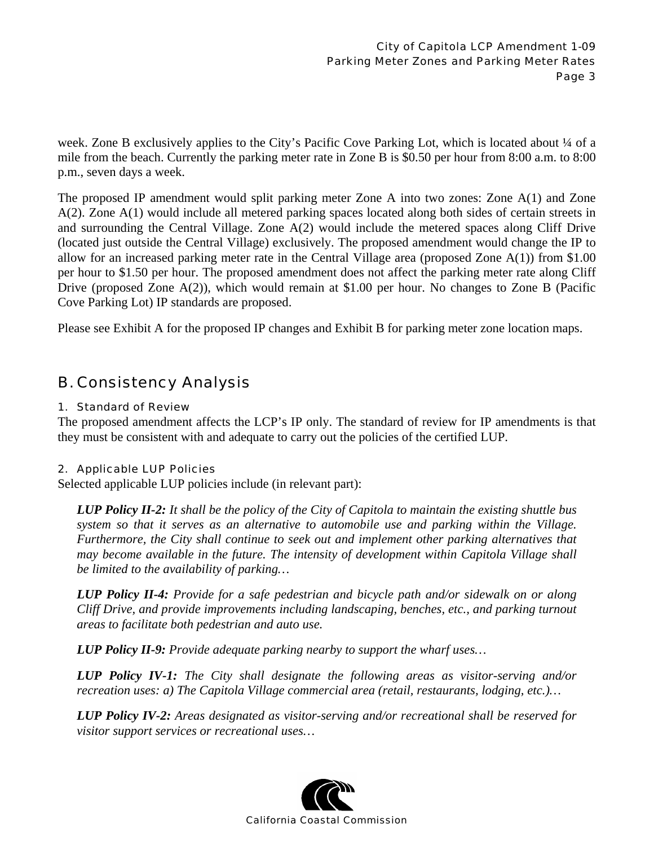week. Zone B exclusively applies to the City's Pacific Cove Parking Lot, which is located about 1/4 of a mile from the beach. Currently the parking meter rate in Zone B is \$0.50 per hour from 8:00 a.m. to 8:00 p.m., seven days a week.

The proposed IP amendment would split parking meter Zone A into two zones: Zone A(1) and Zone A(2). Zone A(1) would include all metered parking spaces located along both sides of certain streets in and surrounding the Central Village. Zone A(2) would include the metered spaces along Cliff Drive (located just outside the Central Village) exclusively. The proposed amendment would change the IP to allow for an increased parking meter rate in the Central Village area (proposed Zone A(1)) from \$1.00 per hour to \$1.50 per hour. The proposed amendment does not affect the parking meter rate along Cliff Drive (proposed Zone A(2)), which would remain at \$1.00 per hour. No changes to Zone B (Pacific Cove Parking Lot) IP standards are proposed.

Please see Exhibit A for the proposed IP changes and Exhibit B for parking meter zone location maps.

## B. Consistency Analysis

#### 1. Standard of Review

The proposed amendment affects the LCP's IP only. The standard of review for IP amendments is that they must be consistent with and adequate to carry out the policies of the certified LUP.

#### 2. Applicable LUP Policies

Selected applicable LUP policies include (in relevant part):

*LUP Policy II-2: It shall be the policy of the City of Capitola to maintain the existing shuttle bus system so that it serves as an alternative to automobile use and parking within the Village. Furthermore, the City shall continue to seek out and implement other parking alternatives that may become available in the future. The intensity of development within Capitola Village shall be limited to the availability of parking…* 

*LUP Policy II-4: Provide for a safe pedestrian and bicycle path and/or sidewalk on or along Cliff Drive, and provide improvements including landscaping, benches, etc., and parking turnout areas to facilitate both pedestrian and auto use.* 

*LUP Policy II-9: Provide adequate parking nearby to support the wharf uses…* 

*LUP Policy IV-1: The City shall designate the following areas as visitor-serving and/or recreation uses: a) The Capitola Village commercial area (retail, restaurants, lodging, etc.)…*

*LUP Policy IV-2: Areas designated as visitor-serving and/or recreational shall be reserved for visitor support services or recreational uses…* 

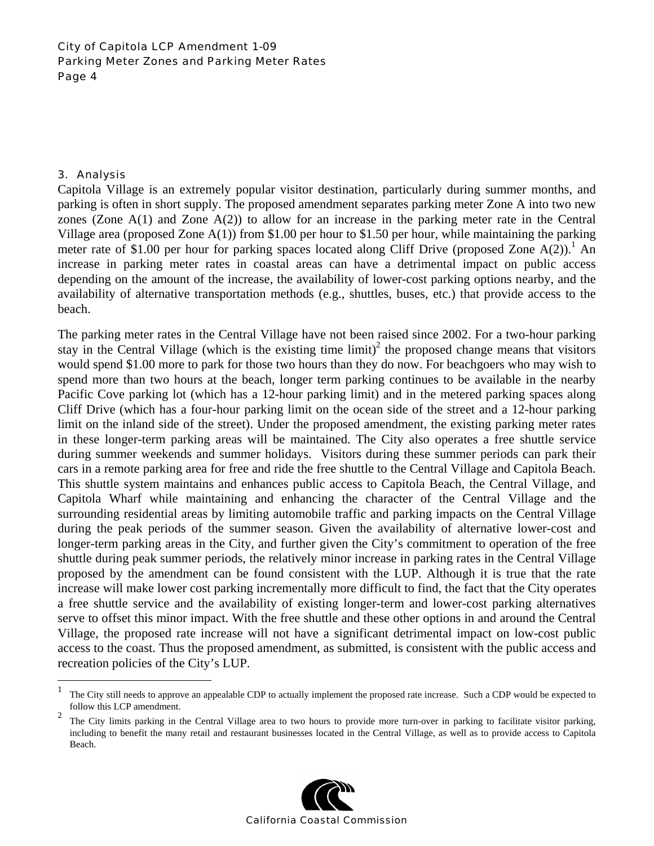#### City of Capitola LCP Amendment 1-09 Parking Meter Zones and Parking Meter Rates Page 4

#### 3. Analysis

1

Capitola Village is an extremely popular visitor destination, particularly during summer months, and parking is often in short supply. The proposed amendment separates parking meter Zone A into two new zones (Zone A(1) and Zone A(2)) to allow for an increase in the parking meter rate in the Central Village area (proposed Zone A(1)) from \$1.00 per hour to \$1.50 per hour, while maintaining the parking meter rate of \$1.00 per hour for parking spaces located along Cliff Drive (proposed Zone  $A(2)$ ).<sup>1</sup> An increase in parking meter rates in coastal areas can have a detrimental impact on public access depending on the amount of the increase, the availability of lower-cost parking options nearby, and the availability of alternative transportation methods (e.g., shuttles, buses, etc.) that provide access to the beach.

The parking meter rates in the Central Village have not been raised since 2002. For a two-hour parking stay in the Central Village (which is the existing time limit)<sup>2</sup> the proposed change means that visitors would spend \$1.00 more to park for those two hours than they do now. For beachgoers who may wish to spend more than two hours at the beach, longer term parking continues to be available in the nearby Pacific Cove parking lot (which has a 12-hour parking limit) and in the metered parking spaces along Cliff Drive (which has a four-hour parking limit on the ocean side of the street and a 12-hour parking limit on the inland side of the street). Under the proposed amendment, the existing parking meter rates in these longer-term parking areas will be maintained. The City also operates a free shuttle service during summer weekends and summer holidays. Visitors during these summer periods can park their cars in a remote parking area for free and ride the free shuttle to the Central Village and Capitola Beach. This shuttle system maintains and enhances public access to Capitola Beach, the Central Village, and Capitola Wharf while maintaining and enhancing the character of the Central Village and the surrounding residential areas by limiting automobile traffic and parking impacts on the Central Village during the peak periods of the summer season. Given the availability of alternative lower-cost and longer-term parking areas in the City, and further given the City's commitment to operation of the free shuttle during peak summer periods, the relatively minor increase in parking rates in the Central Village proposed by the amendment can be found consistent with the LUP. Although it is true that the rate increase will make lower cost parking incrementally more difficult to find, the fact that the City operates a free shuttle service and the availability of existing longer-term and lower-cost parking alternatives serve to offset this minor impact. With the free shuttle and these other options in and around the Central Village, the proposed rate increase will not have a significant detrimental impact on low-cost public access to the coast. Thus the proposed amendment, as submitted, is consistent with the public access and recreation policies of the City's LUP.

<sup>&</sup>lt;sup>2</sup> The City limits parking in the Central Village area to two hours to provide more turn-over in parking to facilitate visitor parking, including to benefit the many retail and restaurant businesses located in the Central Village, as well as to provide access to Capitola Beach.



<sup>&</sup>lt;sup>1</sup> The City still needs to approve an appealable CDP to actually implement the proposed rate increase. Such a CDP would be expected to follow this LCP amendment.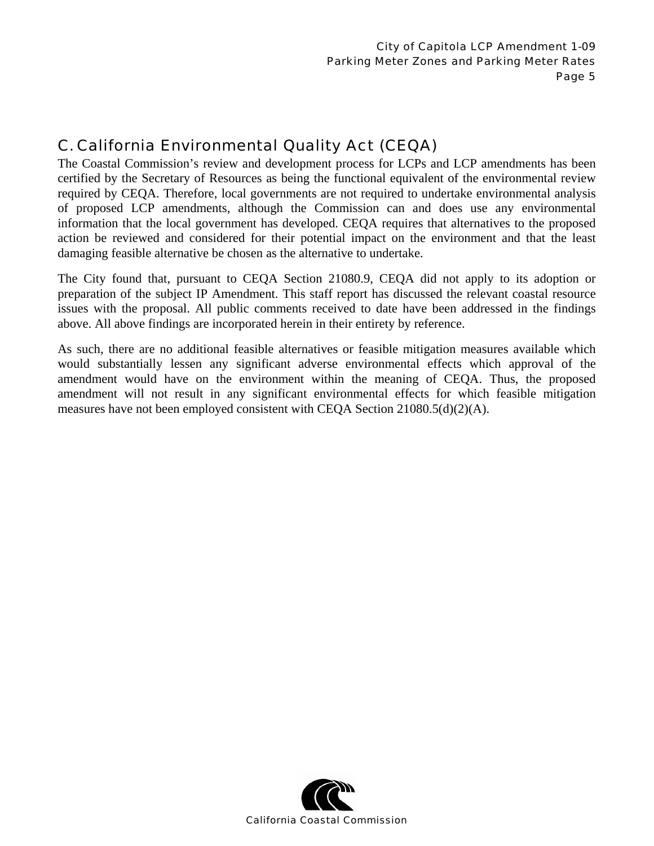# C. California Environmental Quality Act (CEQA)

The Coastal Commission's review and development process for LCPs and LCP amendments has been certified by the Secretary of Resources as being the functional equivalent of the environmental review required by CEQA. Therefore, local governments are not required to undertake environmental analysis of proposed LCP amendments, although the Commission can and does use any environmental information that the local government has developed. CEQA requires that alternatives to the proposed action be reviewed and considered for their potential impact on the environment and that the least damaging feasible alternative be chosen as the alternative to undertake.

The City found that, pursuant to CEQA Section 21080.9, CEQA did not apply to its adoption or preparation of the subject IP Amendment. This staff report has discussed the relevant coastal resource issues with the proposal. All public comments received to date have been addressed in the findings above. All above findings are incorporated herein in their entirety by reference.

As such, there are no additional feasible alternatives or feasible mitigation measures available which would substantially lessen any significant adverse environmental effects which approval of the amendment would have on the environment within the meaning of CEQA. Thus, the proposed amendment will not result in any significant environmental effects for which feasible mitigation measures have not been employed consistent with CEQA Section  $21080.5(d)(2)(A)$ .

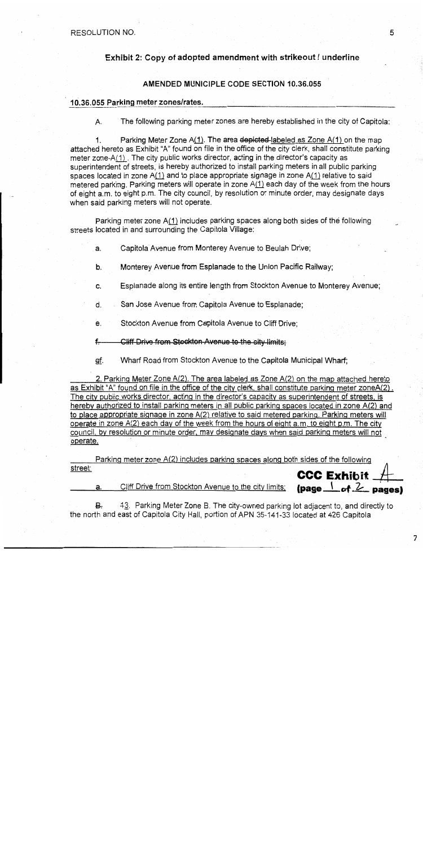RESOLUTION NO.

a.

#### Exhibit 2: Copy of adopted amendment with strikeout / underline

#### AMENDED MUNICIPLE CODE SECTION 10.36.055

#### 10.36.055 Parking meter zones/rates.

А. The following parking meter zones are hereby established in the city of Capitola:

 $1<sub>1</sub>$ Parking Meter Zone  $A(1)$ . The area depicted-labeled as Zone  $A(1)$  on the map attached hereto as Exhibit "A" found on file in the office of the city clerk, shall constitute parking meter zone-A(1). The city public works director, acting in the director's capacity as superintendent of streets, is hereby authorized to install parking meters in all public parking spaces located in zone A(1) and to place appropriate signage in zone A(1) relative to said metered parking. Parking meters will operate in zone A(1) each day of the week from the hours of eight a.m. to eight p.m. The city council, by resolution or minute order, may designate days when said parking meters will not operate.

Parking meter zone A(1) includes parking spaces along both sides of the following streets located in and surrounding the Capitola Village:

Capitola Avenue from Monterey Avenue to Beulah Drive: a.

- b. Monterey Avenue from Esplanade to the Union Pacific Railway:
- Esplanade along its entire length from Stockton Avenue to Monterey Avenue: C.
- San Jose Avenue from Capitola Avenue to Esplanade; d.
	- Stockton Avenue from Capitola Avenue to Cliff Drive; e.
	- Cliff Drive from Stockton Avenue to the city limits:  $f$
	- gf. Wharf Road from Stockton Avenue to the Capitola Municipal Wharf;

2. Parking Meter Zone A(2). The area labeled as Zone A(2) on the map attached hereto as Exhibit "A" found on file in the office of the city clerk, shall constitute parking meter zoneA(2). The city public works director, acting in the director's capacity as superintendent of streets, is hereby authorized to install parking meters in all public parking spaces located in zone A(2) and to place appropriate signage in zone A(2) relative to said metered parking. Parking meters will operate in zone A(2) each day of the week from the hours of eight a.m. to eight p.m. The city council, by resolution or minute order, may designate days when said parking meters will not operate.

Parking meter zone A(2) includes parking spaces along both sides of the following street: CCC Exhibit  $\pm$ 

Cliff Drive from Stockton Avenue to the city limits;

₽. 43. Parking Meter Zone B. The city-owned parking lot adiacent to, and directly to the north and east of Capitola City Hall, portion of APN 35-141-33 located at 426 Capitola

 $\frac{1}{2}$  (page  $\frac{1}{2}$  of  $\frac{2}{2}$  pages)

 $\overline{7}$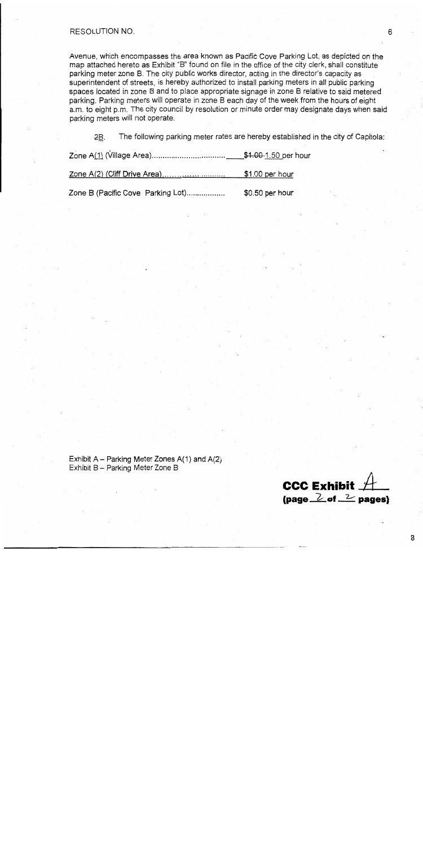#### **RESOLUTION NO.**

Avenue, which encompasses the area known as Pacific Cove Parking Lot, as depicted on the map attached hereto as Exhibit "B" found on file in the office of the city clerk, shall constitute parking meter zone B. The city public works director, acting in the director's capacity as superintendent of streets, is hereby authorized to install parking meters in all public parking spaces located in zone B and to place appropriate signage in zone B relative to said metered parking. Parking meters will operate in zone B each day of the week from the hours of eight a.m. to eight p.m. The city council by resolution or minute order may designate days when said parking meters will not operate.

The following parking meter rates are hereby established in the city of Capitola: 2B.

|                                   | $$1.00\,\mathrm{per}\,$ hour |
|-----------------------------------|------------------------------|
| Zone B (Pacific Cove Parking Lot) | $$0.50$ per hour             |

Exhibit  $A -$  Parking Meter Zones  $A(1)$  and  $A(2)$ Exhibit B - Parking Meter Zone B

**CCC Exhibit** (page  $\geq$  of  $\geq$  pages)

6

8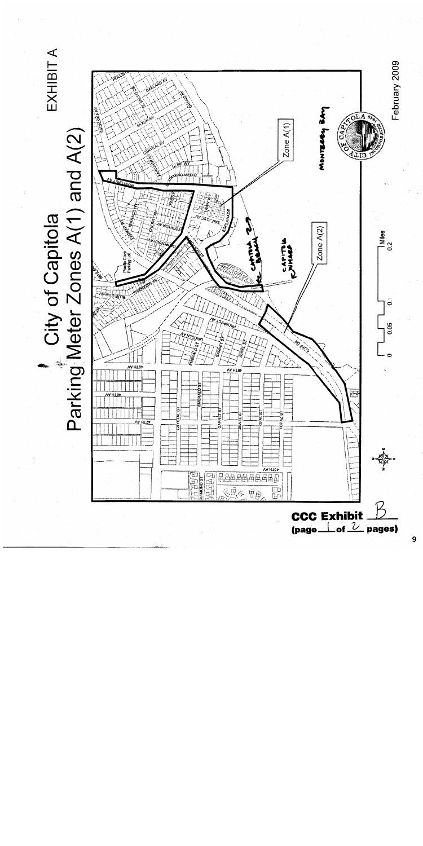EXHIBIT A Parking Meter Zones A(1) and A(2)